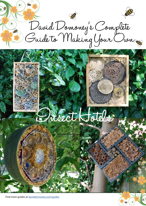David Domoney's Comp lete Guide to Making Your Own

# Insect Hotels

Find more guides at [daviddomoney.co](http://www.daviddomoney.com/guides)m/guides

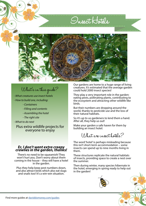



## What's in this guide?

*- What creatures use insect hotels*

- *How to build one, including:*
	- *Containers*

ŒБ

- *Filling and contents*
- *Assembling the hotel*
- *The right site*

*- What to do next*

Plus extra wildlife projects for everyone to enjoy

#### *Er, I don't want extra creepy crawlies in the garden, thanks!*

There's no need to be squeamish! They won't hurt you. Don't worry about them coming in the house – they will have a hotel in the garden.

Plus they help keep pest numbers down, and also attract birds which also eat slugs and snails too! It's a win-win situation.

Our gardens are home to a huge range of living creatures. It's estimated that the average garden could hold 2000 insect species!

They play a very important role in the garden: eating pests, pollinating plants, contributing to the ecosystem and attracting other wildlife like birds.

But their numbers are dropping around the world, thanks to pesticide use and the loss of their natural habitats.

So it's up to us gardeners to lend them a hand. After all, they help us out!

Make your garden a safe haven for them by building an insect hotel.

What are insect hatels?

The word 'hotel' is perhaps misleading because this isn't short-term accommodation – some insects can spend up to nine months living in them.

These structures replicate the natural habitats of insects, providing space to create a nest over the summer.

Then during winter, many species hibernate in the hotel, emerging in spring ready to help out in the garden!



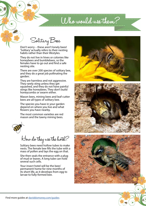# Who would use them?

Solitary Bees

ŒБ

Don't worry – these aren't lonely bees! 'Solitary' actually refers to their nesting habits rather than their lifestyles.

They do not live in hives or colonies like honeybees and bumblebees, so the females have to go out and find a safe nesting site.

There are over 200 species of solitary bee, and they do a great job pollinating the garden.

They are harmless and not aggressive. They rarely sting unless they get squashed, and they do not have painful stings like honeybees. They don't build honeycombs or swarm either.

Mason bees, mining bees and leaf-cutter bees are all types of solitary bee.

The species you have in your garden depend on where you live and what flowers you have nearby.

The most common varieties are red mason and the tawny mining bees.



How do they use the hotel?

Solitary bees need hollow tubes to make nests. The female bee fills the tube with a mass of pollen and lays the egg on that.

She then seals the entrance with a plug of mud or leaves. A long tube can hold several such cells.

Your insect hotel will be the bees' permanent home for nine months of its short life, as it develops from egg to larvae to fully-formed bee.







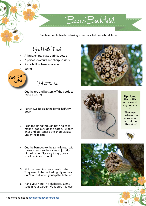Create a simple bee hotel using a few recycled household items.

Basic Bee Hotel

You Will Need

- A large, empty plastic drinks bottle
- A pair of secateurs and sharp scissors
- Some hollow bamboo canes
- **String**

ŒБ

Great for kids!

What to do

- 1. Cut the top and bottom off the bottle to make a casing
- 2. Punch two holes in the bottle halfway down
- 3. Push the string through both holes to make a loop outside the bottle. Tie both ends and pull taut so the knots sit just under the plastic
- 4. Cut the bamboo to the same length with the secateurs, so the canes sit just flush of the bottle. If it's very tough, use a small hacksaw to cut it
- 5. Slot the canes into your plastic tube. They need to be packed tightly so they don't fall out when you tip the hotel up
- 6. Hang your hotel in a sheltered, sunny spot in your garden. Make sure it is level





**Tip:** Stand the bottle on one end as you pack it!

That way the bamboo canes won't fall out the other side!



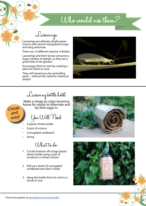## Who would use them?

Lacewings

ŒБ

Lacewings are delicate, bright green insects with almost transparent wings and long antennae.

There are 14 different species in Britain.

Lacewings and their larvae consume a huge number of aphids, so they are a great help in the garden.

Encourage them to visit by creating a place for them to nest.

They will reward you by controlling pests – without the need for chemical sprays!



Lacewing bottle hotel

Make a cheap-as-chips lacewing house for adults to hibernate and lay their eggs in.

You Will Need

- A plastic drinks bottle
- A pair of scissors
- Corrugated cardboard
- **String**

Cheap and easy!

What to do

- 1. Cut the bottom off a large plastic drinks bottle using a pair of secateurs or sharp scissors
- 2. Roll up a sheet of corrugated cardboard and slip it inside
- 3. Hang the bottle from its neck in a shrub or tree



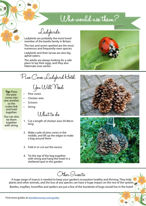# Who would use them?

Ladybirds

Ladybirds are probably the most loved member of the beetle family in Britain.

The two and seven-spotted are the most numerous and frequently-seen species.

Ladybirds and their larvae are also big aphid-eaters.

The adults are always looking for a safe place to lay their eggs, and they also hibernate over winter.





**Tip:** Press the pine cones into one another so the scales link and hold together.

You can also tie them together with string.

Pine cones

o)).

- Chicken wire
- **Scissors**
- **String**

What to do

- 1. Cut a length of chicken wire 50-80cm long
- 2. Make a pile of pine cones in the middle, and lift up the edges to make a bag around them
- 3. Fold in or cut out the excess
- 4. Tie the top of the bag together with string and hang the hotel in a sheltered spot in the garden



A huge range of insects is needed to keep your garden's ecosystem healthy and thriving. They help plants and other animals, and the loss of any species can have a huge impact on the rest of the system. Beetles, mayflies, hoverflies and spiders are just a few of the hundreds of bugs would live in the hotel!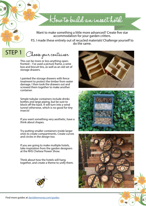Want to make something a little more advanced? Create five star accommodation for your garden critters.

How to build an insect hotel

P.S. I made these entirely out of recycled materials! Challenge yourself to do the same.

Choose your container STEP 1

m

This can be more or less anything openfronted – I've used a picture frame, a wine box and biscuit tins, as well as an old set of storage drawers.

I painted the storage drawers with fence treatment to protect the timber from water damage. I then took the drawers out and screwed them together to make another container.

Simple tubular containers include drinks bottles and large piping, but be sure to block off the back. It will turn into a wind tunnel otherwise, which is no good for tiny insects!

If you want something very aesthetic, have a think about shapes.

Try putting smaller containers inside larger ones to create compartments. Create curves and circles in the design too.

If you are going to make multiple hotels, take inspiration from the garden designers at the RHS Chelsea Flower Show.

Think about how the hotels will hang together, and create a theme to unify them.







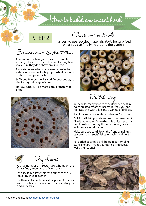### How to build an insect hotel

STEP 2

œ.

Choose your materials

It's best to use recycled materials. You'd be surprised what you can find lying around the garden.

Bamboo canes & plant stems

Chop up old hollow garden canes to create nesting tubes. Keep them to a similar length and make sure they don't have any splinters.

Plant stems are what many insects use in the natural environment. Chop up the hollow stems of shrubs and perennials.

Different diameters will suit different species, so aim for a good range of sizes.

Narrow tubes will be more popular than wider ones.





Drilled Logs

In the wild, many species of solitary bee nest in holes created by other insects in trees. You can replicate this with a log and a variety of drill bits.

Aim for a mix of diameters, between 2 and 8mm.

Drill in a slight upwards angle so the holes don't fill with rainwater. Make the hole quite deep but don't push all the way through the log, or you will create a wind tunnel.

Make sure you sand down the front, as splinters can catch on insects' delicate bodies and hurt them.

For added aesthetic, drill holes in patterns like swirls or stars – make your hotel attractive as well as functional!



A large number of insects make a home on the forest floor, under all the fallen leaves.

It's easy to replicate this with bunches of dry leaves pushed together.

Fix them in to the hotel with a piece of chicken wire, which leaves space for the insects to get in and out easily.

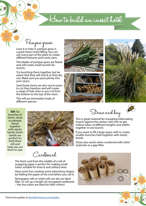### How to build an insect hotel

Pampas grass

oт

Love it or hate it, pampas grass is a great insect hotel filling. You can use every part of the plant to create different textures and cavity sizes.

The blades of pampas grass are fluted and will create small tunnels for insects.

Try bunching them together, but be aware that they will shrink as they dry out. Make sure you pack plenty into your space.

Seed head stems are also much easier to cut than bamboo and will create a range of hole sizes as you cut from the bottom to the top of the stem.

This will accommodate loads of different species.



**TIP:** Tie bunches of stems, straw or pampas leaves together with elastic bands (loom bands are perfect) to hold them still and help you cut them to size.



Straw and hay

This is great material for insulating hibernating insects against the winter cold. Aim to get hollow tubes of different lengths and widths together in one bunch.

If you want to fill a large space with it, create smaller bunches held together with elastic bands.

Straw also works when combined with other materials as a gap-filler.

Cardboard

The thick card from the middle of a roll of wrapping paper is perfect for making small tubes suitable for insects and solitary bees.

Have some fun creating some interesting shapes by folding the paper at the end before you roll it.

Newspaper rolls or toilet rolls are also an ideal filler. Or roll up a length of corrugated cardboard – the tiny tubes are ideal for little critters!

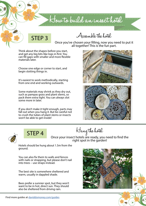How to build an insect hotel

STEP 3

ŒБ

Assemble the hotel

Once you've chosen your filling, now you need to put it all together! This is the fun part.

Think about the shapes before you start, and get any big bits like logs in first. You can fill gaps with smaller and more flexible materials later.

Choose one edge or corner to start, and begin slotting things in.

It's easiest to work methodically, starting from one end and working outwards.

Some materials may shrink as they dry out, such as pampas grass and plant stems, so pack them extra tight. You can always slot some more in later.

If you don't make it tight enough, parts may fall out when you hang it. But be careful not to crush the tubes of plant stems or insects won't be able to get inside!







STEP 4

Hang the hotel

Once your insect hotels are ready, you need to find the<br>right spot in the garden!

Hotels should be hung about 1.5m from the ground.

You can also fix them to walls and fences with nails or strapping, but please don't nail into trees – use straps instead.

The best site is somewhere sheltered and warm, usually in dappled shade.

Bees prefer a sunnier spot, but they won't want to be in hot, direct sun. They should also be sheltered from driving rain.



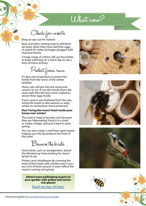What now?

Check for insects

Keep an eye out for visitors!

oт

Bees and other nesting insects will block up holes when they have laid their eggs, so watch for tubes and gaps plugged with mud and leaves.

A huge range of critters will use the hotels, so keep watching on a warm day to see a host of insect activity.

Protect from rain

It's also very important to protect the hotels from the worst of the winter weather.

Heavy rain will get into the wood and cause it to rot. It can also break down the mud walls that the bees have created to secure their eggs inside.

If your spot is not sheltered from the rain, move the hotels in late autumn or early winter to somewhere more protected.

#### **Don't bring the insect hotel inside your house over winter!**

The insects need to be kept cool because they are hibernating! Store it in a shed or under a ledge, and put it back in early spring.

You can also create a roof from spare wood, making sure the lip protects the front of the hotel.

Boware the birds

Some birds, such as woodpeckers, attack the blocked-up holes looking for insect larvae to eat.

Protect your inhabitants by covering the front of the hotels with chicken wire if you see a lot of birds around. It won't affect the insects coming and going!

**Attract more pollinating insects to your garden with pollen and nectarrich plants!** 

[Read my top 10 here.](http://bit.ly/1m5u6uo)